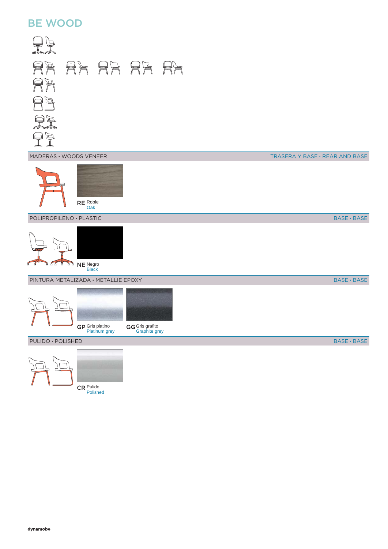## BE WOOD



BASE **·** BASE

BASE **·** BASE

BASE **·** BASE

CR Pulido

Polished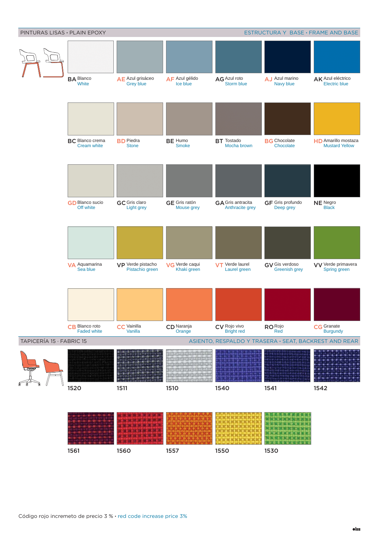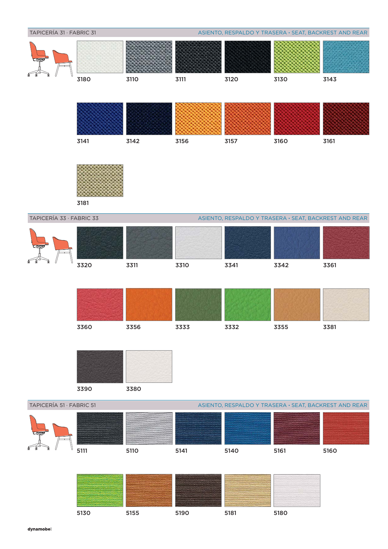



3181

TAPICERÍA 33 · FABRIC 33

ASIENTO, RESPALDO Y TRASERA **·** SEAT, BACKREST AND REAR







## TAPICERÍA 51 · FABRIC 51

ASIENTO, RESPALDO Y TRASERA **·** SEAT, BACKREST AND REAR



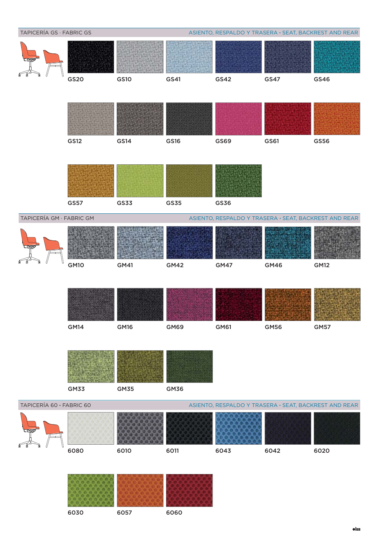| TAPICERÍA GS · FABRIC GS |                  |                                                       |             | ASIENTO, RESPALDO Y TRASERA · SEAT, BACKREST AND REAR |             |                                                       |  |  |
|--------------------------|------------------|-------------------------------------------------------|-------------|-------------------------------------------------------|-------------|-------------------------------------------------------|--|--|
|                          |                  |                                                       |             |                                                       |             |                                                       |  |  |
|                          | GS20             | <b>GS10</b>                                           | GS41        | GS42                                                  | GS47        | GS46                                                  |  |  |
|                          |                  |                                                       |             |                                                       |             |                                                       |  |  |
|                          | <b>GS12</b>      | GS14                                                  | <b>GS16</b> | GS69                                                  | GS61        | <b>GS56</b>                                           |  |  |
|                          |                  |                                                       |             |                                                       |             |                                                       |  |  |
|                          | <b>GS57</b>      | <b>GS33</b>                                           | <b>GS35</b> | <b>GS36</b>                                           |             |                                                       |  |  |
| TAPICERÍA GM · FABRIC GM |                  |                                                       |             |                                                       |             | ASIENTO, RESPALDO Y TRASERA · SEAT, BACKREST AND REAR |  |  |
|                          |                  |                                                       |             |                                                       |             |                                                       |  |  |
|                          | GM <sub>10</sub> | GM41                                                  | <b>GM42</b> | <b>GM47</b>                                           | <b>GM46</b> | <b>GM12</b>                                           |  |  |
|                          |                  |                                                       |             |                                                       |             |                                                       |  |  |
|                          |                  |                                                       |             |                                                       |             |                                                       |  |  |
|                          | <b>GM14</b>      | <b>GM16</b>                                           | <b>GM69</b> | GM61                                                  | <b>GM56</b> | <b>GM57</b>                                           |  |  |
|                          | <b>GM33</b>      | <b>GM35</b>                                           | <b>GM36</b> |                                                       |             |                                                       |  |  |
| TAPICERÍA 60 · FABRIC 60 |                  | ASIENTO, RESPALDO Y TRASERA · SEAT, BACKREST AND REAR |             |                                                       |             |                                                       |  |  |
|                          |                  |                                                       |             |                                                       |             |                                                       |  |  |
|                          | 6080             | 6010                                                  | 6011        | 6043                                                  | 6042        | 6020                                                  |  |  |
|                          |                  |                                                       |             |                                                       |             |                                                       |  |  |